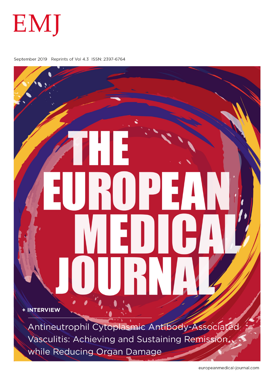

September 2019 Reprints of Vol 4.3 ISSN: 2397-6764

+ INTERVIEW

Antineutrophil Cytoplasmic Antibody-Associated Vasculitis: Achieving and Sustaining Remission, while Reducing Organ Damage

europeanmedical-journal.com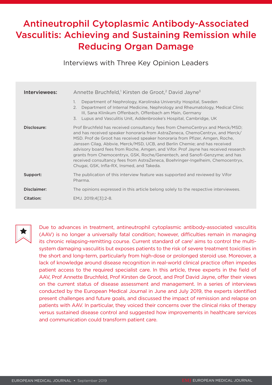# Antineutrophil Cytoplasmic Antibody-Associated Vasculitis: Achieving and Sustaining Remission while Reducing Organ Damage

Interviews with Three Key Opinion Leaders

| Interviewees: | Annette Bruchfeld, <sup>1</sup> Kirsten de Groot, <sup>2</sup> David Jayne <sup>3</sup><br>Department of Nephrology, Karolinska University Hospital, Sweden<br>1.<br>Department of Internal Medicine, Nephrology and Rheumatology, Medical Clinic<br>2.<br>III, Sana Klinikum Offenbach, Offenbach am Main, Germany<br>Lupus and Vasculitis Unit, Addenbrooke's Hospital, Cambridge, UK<br>$\overline{3}$ .                                                                                                                                                                                                                        |
|---------------|------------------------------------------------------------------------------------------------------------------------------------------------------------------------------------------------------------------------------------------------------------------------------------------------------------------------------------------------------------------------------------------------------------------------------------------------------------------------------------------------------------------------------------------------------------------------------------------------------------------------------------|
| Disclosure:   | Prof Bruchfeld has received consultancy fees from ChemoCentryx and Merck/MSD;<br>and has received speaker honoraria from AstraZeneca, ChemoCentryx, and Merck/<br>MSD. Prof de Groot has received speaker honoraria from Pfizer, Amgen, Roche,<br>Janssen Cilag, Abbvie, Merck/MSD, UCB, and Berlin Chemie; and has received<br>advisory board fees from Roche, Amgen, and Vifor. Prof Jayne has received research<br>grants from Chemocentryx, GSK, Roche/Genentech, and Sanofi-Genzyme; and has<br>received consultancy fees from AstraZeneca, Boehringer-Ingelheim, Chemocentryx,<br>Chugai, GSK, Infla-RX, Insmed, and Takeda. |
| Support:      | The publication of this interview feature was supported and reviewed by Vifor<br>Pharma.                                                                                                                                                                                                                                                                                                                                                                                                                                                                                                                                           |
| Disclaimer:   | The opinions expressed in this article belong solely to the respective interviewees.                                                                                                                                                                                                                                                                                                                                                                                                                                                                                                                                               |
| Citation:     | EMJ. 2019;4[3]:2-8.                                                                                                                                                                                                                                                                                                                                                                                                                                                                                                                                                                                                                |



Due to advances in treatment, antineutrophil cytoplasmic antibody-associated vasculitis (AAV) is no longer a universally fatal condition; however, difficulties remain in managing its chronic relapsing-remitting course. Current standard of care<sup>1</sup> aims to control the multisystem damaging vasculitis but exposes patients to the risk of severe treatment toxicities in the short and long-term, particularly from high-dose or prolonged steroid use. Moreover, a lack of knowledge around disease recognition in real-world clinical practice often impedes patient access to the required specialist care. In this article, three experts in the field of AAV, Prof Annette Bruchfeld, Prof Kirsten de Groot, and Prof David Jayne, offer their views on the current status of disease assessment and management. In a series of interviews conducted by the European Medical Journal in June and July 2019, the experts identified present challenges and future goals, and discussed the impact of remission and relapse on patients with AAV. In particular, they voiced their concerns over the clinical risks of therapy versus sustained disease control and suggested how improvements in healthcare services and communication could transform patient care.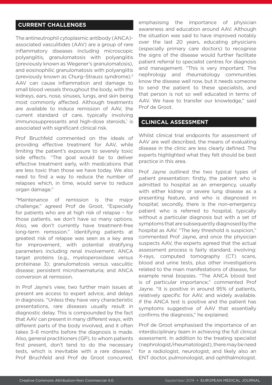## **CURRENT CHALLENGES**

The antineutrophil cytoplasmic antibody (ANCA) associated vasculitides (AAV) are a group of rare inflammatory diseases including microscopic polyangiitis, granulomatosis with polyangiitis (previously known as Wegener's granulomatosis), and eosinophilic granulomatosis with polyangiitis (previously known as Churg–Strauss syndrome).2 AAV can cause inflammation and damage to small blood vessels throughout the body, with the kidneys, ears, nose, sinuses, lungs, and skin being most commonly affected. Although treatments are available to induce remission of AAV, the current standard of care, typically involving immunosuppressants and high-dose steroids,<sup>1</sup> is associated with significant clinical risk.

Prof Bruchfeld commented on the ideals of providing effective treatment for AAV, while limiting the patient's exposure to severely toxic side effects. "The goal would be to deliver effective treatment early, with medications that are less toxic than those we have today. We also need to find a way to reduce the number of relapses which, in time, would serve to reduce organ damage."

"Maintenance of remission is the major challenge," agreed Prof de Groot, "Especially for patients who are at high risk of relapse – for those patients, we don't have so many options. Also, we don't currently have treatment-free long-term remission." Identifying patients at greatest risk of relapse was seen as a key area for improvement, with potential stratifying parameters including renal involvement; ANCA target proteins (e.g., myeloperoxidase versus proteinase 3); granulomatosis versus vasculitic disease; persistent microhaematuria; and ANCA conversion at remission.

In Prof Jayne's view, two further main issues at present are access to expert advice, and delays in diagnosis. "Unless they have very characteristic presentations, rare diseases usually result in diagnostic delay. This is compounded by the fact that AAV can present in many different ways, with different parts of the body involved, and it often takes 3–6 months before the diagnosis is made. Also, general practitioners (GP), to whom patients first present, don't tend to do the necessary tests, which is inevitable with a rare disease." Prof Bruchfeld and Prof de Groot concurred, emphasising the importance of physician awareness and education around AAV. Although the situation was said to have improved notably over the last 20 years, educating physicians (especially primary care doctors) to recognise the signs of the disease would further facilitate patient referral to specialist centres for diagnosis and management. "This is very important. The nephrology and rheumatology communities know the disease well now, but it needs someone to send the patient to these specialists, and that person is not so well educated in terms of AAV. We have to transfer our knowledge," said Prof de Groot.

### **CLINICAL ASSESSMENT**

Whilst clinical trial endpoints for assessment of AAV are well described, the means of evaluating disease in the clinic are less clearly defined. The experts highlighted what they felt should be best practice in this area.

Prof Jayne outlined the two typical types of patient presentation: firstly, the patient who is admitted to hospital as an emergency, usually with either kidney or severe lung disease as a presenting feature, and who is diagnosed in hospital; secondly, there is the non-emergency patient who is referred to hospital, typically without a particular diagnosis but with a set of symptoms that are subsequently diagnosed by the hospital as AAV. "The key threshold is suspicion," commented Prof Jayne, and once the physician suspects AAV, the experts agreed that the actual assessment process is fairly standard, involving: X-rays, computed tomography (CT) scans, blood and urine tests, plus other investigations related to the main manifestations of disease, for example renal biopsies. "The ANCA blood test is of particular importance," commented Prof Jayne. "It is positive in around 95% of patients, relatively specific for AAV, and widely available. If the ANCA test is positive and the patient has symptoms suggestive of AAV that essentially confirms the diagnosis," he explained.

Prof de Groot emphasised the importance of an interdisciplinary team in achieving the full clinical assessment. In addition to the treating specialist (nephrologist/rheumatologist), there may be need for a radiologist, neurologist, and likely also an ENT doctor, pulmonologist, and ophthalmologist.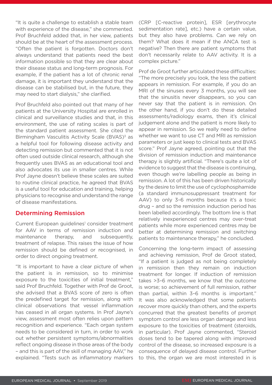"It is quite a challenge to establish a stable team with experience of the disease," she commented. Prof Bruchfeld added that, in her view, patients should be at the heart of the assessment process. "Often the patient is forgotten. Doctors don't always understand that patients need the best information possible so that they are clear about their disease status and long-term prognosis. For example, if the patient has a lot of chronic renal damage, it is important they understand that the disease can be stabilised but, in the future, they may need to start dialysis," she clarified.

Prof Bruchfeld also pointed out that many of her patients at the University Hospital are enrolled in clinical and surveillance studies and that, in this environment, the use of rating scales is part of the standard patient assessment. She cited the Birmingham Vasculitis Activity Scale (BVAS)<sup>3</sup> as a helpful tool for following disease activity and detecting remission but commented that it is not often used outside clinical research, although she frequently uses BVAS as an educational tool and also advocates its use in smaller centres. While Prof Jayne doesn't believe these scales are suited to routine clinical practice, he agreed that BVAS is a useful tool for education and training, helping physicians to recognise and understand the range of disease manifestations.

### Determining Remission

Current European guidelines<sup>1</sup> consider treatment for AAV in terms of remission induction and maintenance therapy, and subsequently, treatment of relapse. This raises the issue of how remission should be defined or recognised, in order to direct ongoing treatment.

"It is important to have a clear picture of when the patient is in remission, so to minimise exposure to the toxicities of initial treatment," said Prof Bruchfeld. Together with Prof de Groot, she advised that a BVAS score of zero is often the predefined target for remission, along with clinical observations that vessel inflammation has ceased in all organ systems. In Prof Jayne's view, assessment most often relies upon pattern recognition and experience. "Each organ system needs to be considered in turn, in order to work out whether persistent symptoms/abnormalities reflect ongoing disease in those areas of the body – and this is part of the skill of managing AAV," he explained. "Tests such as inflammatory markers

(CRP [C-reactive protein], ESR [erythrocyte sedimentation rate], etc.) have a certain value, but they also have problems. Can we rely on them? What does it mean if the ANCA test is negative? Then there are patient symptoms that don't necessarily relate to AAV activity. It is a complex picture."

Prof de Groot further articulated these difficulties: "The more precisely you look, the less the patient appears in remission. For example, if you do an MRI of the sinuses every 3 months, you will see that the sinusitis never disappears, so you can never say that the patient is in remission. On the other hand, if you don't do these detailed assessments/radiology exams, then it's clinical judgement alone and the patient is more likely to appear in remission. So we really need to define whether we want to use CT and MRI as remission parameters or just keep to clinical tests and BVAS score." Prof Jayne agreed, pointing out that the division of remission induction and maintenance therapy is slightly artificial. "There's quite a lot of evidence to suggest that the disease is continuing, even though we're labelling people as being in remission. A lot of this has been driven historically by the desire to limit the use of cyclophosphamide (a standard immunosuppressant treatment for AAV) to only 3–6 months because it's a toxic drug – and so the remission induction period has been labelled accordingly. The bottom line is that relatively inexperienced centres may over-treat patients while more experienced centres may be better at determining remission and switching patients to maintenance therapy," he concluded.

Concerning the long-term impact of assessing and achieving remission, Prof de Groot stated, "If a patient is judged as not being completely in remission then they remain on induction treatment for longer. If induction of remission takes >3–6 months, we know that the outcome is worse; so achievement of full remission, rather than partial, within 3–6 months is important." It was also acknowledged that some patients recover more quickly than others, and the experts concurred that the greatest benefits of prompt symptom control are less organ damage and less exposure to the toxicities of treatment (steroids, in particular). Prof Jayne commented, "Steroid doses tend to be tapered along with improved control of the disease, so increased exposure is a consequence of delayed disease control. Further to this, the organ we are most interested in is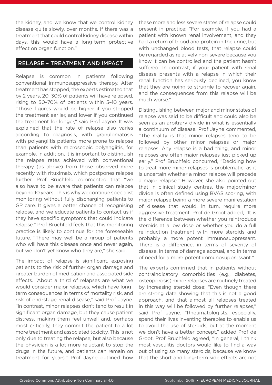the kidney, and we know that we control kidney disease quite slowly, over months. If there was a treatment that could control kidney disease within days, this would have a long-term protective effect on organ function."

### RELAPSE – TREATMENT AND IMPACT

Relapse is common in patients following conventional immunosuppressive therapy. After treatment has stopped, the experts estimated that by 2 years, 20–30% of patients will have relapsed, rising to 50–70% of patients within 5–10 years. "Those figures would be higher if you stopped the treatment earlier, and lower if you continued the treatment for longer," said Prof Jayne. It was explained that the rate of relapse also varies according to diagnosis, with granulomatosis with polyangiitis patients more prone to relapse than patients with microscopic polyangiitis, for example. In addition, it is important to distinguish the relapse rates achieved with conventional therapy (as above) from those observed more recently with rituximab, which postpones relapse further. Prof Bruchfeld commented that "we also have to be aware that patients can relapse beyond 10 years. This is why we continue specialist monitoring without fully discharging patients to GP care. It gives a better chance of recognising relapse, and we educate patients to contact us if they have specific symptoms that could indicate relapse." Prof Bruchfeld feels that this monitoring practice is likely to continue for the foreseeable future. "There may well be a group of patients who will have this disease once and never again. but we don't yet know who they are," she said.

The impact of relapse is significant, exposing patients to the risk of further organ damage and greater burden of medication and associated side effects. "About a third of relapses are what we would consider major relapses, which have longterm consequences in terms of mortality risk, and risk of end-stage renal disease," said Prof Jayne. "In contrast, minor relapses don't tend to result in significant organ damage, but they cause patient distress, making them feel unwell and, perhaps most critically, they commit the patient to a lot more treatment and associated toxicity. This is not only due to treating the relapse, but also because the physician is a lot more reluctant to stop the drugs in the future, and patients can remain on treatment for years." Prof Jayne outlined how

these more and less severe states of relapse could present in practice: "For example, if you had a patient with known renal involvement, and they had a return of blood and protein in the urine, but with unchanged blood tests, that relapse could be regarded as relatively non-severe because you know it can be controlled and the patient hasn't suffered. In contrast, if your patient with renal disease presents with a relapse in which their renal function has seriously declined, you know that they are going to struggle to recover again, and the consequences from this relapse will be much worse."

Distinguishing between major and minor states of relapse was said to be difficult and could also be seen as an arbitrary divide in what is essentially a continuum of disease. Prof Jayne commented, "The reality is that minor relapses tend to be followed by other minor relapses or major relapses. Any relapse is a bad thing, and minor relapses are often major relapses just picked up early." Prof Bruchfeld concurred, "Deciding how to treat more minor relapses is problematic, as it is uncertain whether a minor relapse will precede a major relapse." However, she also pointed out that in clinical study centres, the major/minor divide is often defined using BVAS scoring, with major relapse being a more severe manifestation of disease that would, in turn, require more aggressive treatment. Prof de Groot added, "It is the difference between whether you reintroduce steroids at a low dose or whether you do a full re-induction treatment with more steroids and probably a more potent immunosuppressant. There is a difference, in terms of severity of disease, in terms of damage accrual, and in terms of need for a more potent immunosuppressant."

The experts confirmed that in patients without contraindicatory comorbidities (e.g., diabetes, osteoporosis) minor relapses are routinely treated by increasing steroid dose: "Even though there are strong data showing that this is not a good approach, and that almost all relapses treated in this way will be followed by further relapses," said Prof Jayne. "Rheumatologists, especially, spend their lives inventing therapies to enable us to avoid the use of steroids, but at the moment we don't have a better concept," added Prof de Groot. Prof Bruchfeld agreed, "In general, I think most vasculitis doctors would like to find a way out of using so many steroids, because we know that the short and long-term side effects are not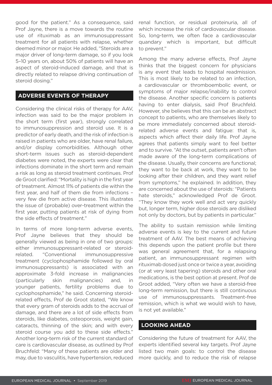good for the patient." As a consequence, said Prof Jayne, there is a move towards the routine use of rituximab as an immunosuppressant treatment for all patients with relapse, whether deemed minor or major. He added, "Steroids are a major driver of long-term damage, so if you look 5–10 years on, about 50% of patients will have an aspect of steroid-induced damage, and that is directly related to relapse driving continuation of steroid dosing."

### **ADVERSE EVENTS OF THERAPY**

Considering the clinical risks of therapy for AAV, infection was said to be the major problem in the short term (first year), strongly correlated to immunosuppression and steroid use. It is a predictor of early death, and the risk of infection is raised in patients who are older, have renal failure, and/or display comorbidities. Although other short-term issues such as steroid-dependent diabetes were noted, the experts were clear that infections dominate in the short term and remain a risk as long as steroid treatment continues. Prof de Groot clarified: "Mortality is high in the first year of treatment. Almost 11% of patients die within the first year, and half of them die from infections – very few die from active disease. This illustrates the issue of (probable) over-treatment within the first year, putting patients at risk of dying from the side effects of treatment."

In terms of more long-term adverse events, Prof Jayne believes that they should be generally viewed as being in one of two groups: either immunosuppressant-related or steroidrelated. "Conventional immunosuppressive treatment (cyclophosphamide followed by oral immunosuppressants) is associated with an approximate 3-fold increase in malignancies (particularly skin malignancies) and, in younger patients, fertility problems due to cyclophosphamide," he said. Concerning steroidrelated effects, Prof de Groot stated, "We know that every gram of steroids adds to the accrual of damage, and there are a lot of side effects from steroids, like diabetes, osteoporosis, weight gain, cataracts, thinning of the skin; and with every steroid course you add to these side effects." Another long-term risk of the current standard of care is cardiovascular disease, as outlined by Prof Bruchfeld: "Many of these patients are older and may, due to vasculitis, have hypertension, reduced

renal function, or residual proteinuria, all of which increase the risk of cardiovascular disease. So, long-term, we often face a cardiovascular quandary which is important, but difficult to prevent."

Among the many adverse effects, Prof Jayne thinks that the biggest concern for physicians is any event that leads to hospital readmission. This is most likely to be related to an infection, a cardiovascular or thromboembolic event, or symptoms of major relapse/inability to control the disease. Another specific concern is patients having to enter dialysis, said Prof Bruchfeld. However, she believes that this can be an abstract concept to patients, who are themselves likely to be more immediately concerned about steroidrelated adverse events and fatigue: that is, aspects which affect their daily life. Prof Jayne agrees that patients simply want to feel better and to survive. "At the outset, patients aren't often made aware of the long-term complications of the disease. Usually, their concerns are functional; they want to be back at work, they want to be looking after their children, and they want relief from symptoms," he explained. In addition, they are concerned about the use of steroids: "Patients hate steroids," acknowledged Prof de Groot. "They know they work well and act very quickly but, longer term, higher dose steroids are disliked not only by doctors, but by patients in particular."

The ability to sustain remission while limiting adverse events is key to the current and future treatment of AAV. The best means of achieving this depends upon the patient profile but there was general agreement that, for a relapsing patient, an immunosuppressant regimen with rituximab dosed just once or twice a year, avoiding (or at very least tapering) steroids and other oral medications, is the best option at present. Prof de Groot added, "Very often we have a steroid-free long-term remission, but there is still continuous use of immunosuppressants. Treatment-free remission, which is what we would wish to have, is not yet available."

### **LOOKING AHEAD**

Considering the future of treatment for AAV, the experts identified several key targets. Prof Jayne listed two main goals: to control the disease more quickly, and to reduce the risk of relapse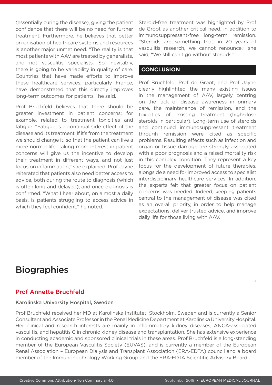(essentially curing the disease), giving the patient confidence that there will be no need for further treatment. Furthermore, he believes that better organisation of healthcare systems and resources is another major unmet need. "The reality is that most patients with AAV are treated by generalists, and not vasculitis specialists. So inevitably, there is going to be variability in quality of care. Countries that have made efforts to improve these healthcare services, particularly France, have demonstrated that this directly improves long-term outcomes for patients," he said.

Prof Bruchfeld believes that there should be greater investment in patient concerns; for example, related to treatment toxicities and fatigue. "Fatigue is a continual side effect of the disease and its treatment. If it's from the treatment we should change it, so that the patient can live a more normal life. Taking more interest in patient concerns will give us the incentive to develop their treatment in different ways, and not just focus on inflammation," she explained. Prof Jayne reiterated that patients also need better access to advice, both during the route to diagnosis (which is often long and delayed), and once diagnosis is confirmed. "What I hear about, on almost a daily basis, is patients struggling to access advice in which they feel confident," he noted.

Steroid-free treatment was highlighted by Prof de Groot as another critical need, in addition to immunosuppressant-free long-term remission. "Steroids are something that, in 20 years of vasculitis research, we cannot renounce," she said, "We still can't go without steroids."

### **CONCLUSION**

Prof Bruchfeld, Prof de Groot, and Prof Jayne clearly highlighted the many existing issues in the management of AAV, largely centring on the lack of disease awareness in primary care, the maintenance of remission, and the toxicities of existing treatment (high-dose steroids in particular). Long-term use of steroids and continued immunosuppressant treatment through remission were cited as specific problems. Resulting effects such as infection and organ or tissue damage are strongly associated with a poor prognosis and a raised mortality risk in this complex condition. They represent a key focus for the development of future therapies, alongside a need for improved access to specialist interdisciplinary healthcare services. In addition, the experts felt that greater focus on patient concerns was needed. Indeed, keeping patients central to the management of disease was cited as an overall priority, in order to help manage expectations, deliver trusted advice, and improve daily life for those living with AAV.

## **Biographies**

### Prof Annette Bruchfeld

### Karolinska University Hospital, Sweden

Prof Bruchfeld received her MD at Karolinska Institutet, Stockholm, Sweden and is currently a Senior Consultant and Associate Professor in the Renal Medicine Department at Karolinska University Hospital. Her clinical and research interests are mainly in inflammatory kidney diseases, ANCA-associated vasculitis, and hepatitis C in chronic kidney disease and transplantation. She has extensive experience in conducting academic and sponsored clinical trials in these areas. Prof Bruchfeld is a long-standing member of the European Vasculitis Society (EUVAS), and is currently a member of the European Renal Association – European Dialysis and Transplant Association (ERA-EDTA) council and a board member of the Immunonephrology Working Group and the ERA-EDTA Scientific Advisory Board.